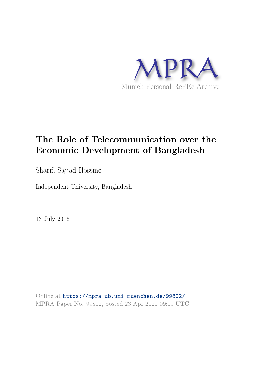

# **The Role of Telecommunication over the Economic Development of Bangladesh**

Sharif, Sajjad Hossine

Independent University, Bangladesh

13 July 2016

Online at https://mpra.ub.uni-muenchen.de/99802/ MPRA Paper No. 99802, posted 23 Apr 2020 09:09 UTC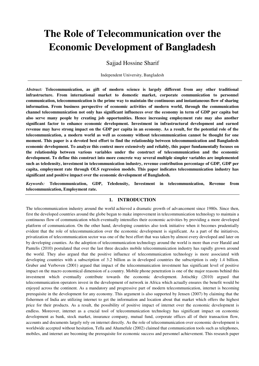# **The Role of Telecommunication over the Economic Development of Bangladesh**

Sajjad Hossine Sharif

Independent University, Bangladesh

*Abstract:* **Telecommunication, as gift of modern science is largely different from any other traditional infrastructure. From international market to domestic market, corporate communication to personnel communication, telecommunication is the prime way to maintain the continuous and instantaneous flow of sharing information. From business perspective of economic activities of modern world, through the communication channel telecommunication not only has significant influences over the economy in term of GDP per capita but also serve many people by creating job opportunities. Hence increasing employment rate may also another significant factor to enhance economic development. Investment in infrastructural development and earned revenue may have strong impact on the GDP per capita in an economy. As a result, for the potential role of the telecommunication, a modern world as well as economy without telecommunication cannot be thought for one moment. This paper is a devoted best effort to find the relationship between telecommunication and Bangladesh economic development. To analyze this context more extensively and reliably, this paper fundamentally focuses on the relationship between various variables under the construct of telecommunication and the economic development. To define this construct into more concrete way several multiple simpler variables are implemented such as teledensity, investment in telecommunication industry, revenue contribution percentage of GDP, GDP per capita, employment rate through OLS regression models. This paper indicates telecommunication industry has significant and positive impact over the economic development of Bangladesh.** 

*Keywords:* **Telecommunication, GDP, Teledensity, Investment in telecommunication, Revenue from telecommunication, Employment rate.** 

# **1. INTRODUCTION**

The telecommunication industry around the world achieved a dramatic growth of advancement since 1980s. Since then, first the developed countries around the globe began to make improvement in telecommunication technology to maintain a continuous flow of communication which eventually intensifies their economic activities by providing a more developed platform of communication. On the other hand, developing countries also took initiative when it becomes prudentially evident that the role of telecommunication over the economic development is significant. As a part of the initiatives, privatization of telecommunication sector was one of the best effort that was taken by almost every developed and later on by developing counties. As the adoption of telecommunication technology around the world is more than ever Harald and Pantelis (2010) postulated that over the last three decades mobile telecommunication industry has rapidly grown around the world. They also argued that the positive influence of telecommunication technology is more associated with developing countries with a subscription of 3.2 billion as in developed countries the subscription is only 1.4 billion. Gruber and Verboven (2001) argued that impact of the telecommunication investment has significant level of positive impact on the macro economical dimension of a country. Mobile phone penetration is one of the major reasons behind this investment which eventually contribute towards the economic development. Jotischky (2010) argued that telecommunication operators invest in the development of network in Africa which actually ensures the benefit would be enjoyed across the continent. As a mandatory and progressive part of modern telecommunication, internet is becoming prerequisite in the development for any economy. This argument is also supported by Jensen (2007) by claiming that the fishermen of India are utilizing internet to get the information and location about that market which offers the highest price for their products. As a result, the possibility of positive impact of internet over the economic development is endless. Moreover, internet as a crucial tool of telecommunication technology has significant impact on economic development as bank, stock market, insurance company, mutual fund, corporate offices all of their transaction flow, accounts and documents largely rely on internet directly. As the role of telecommunication over economic development is worldwide accepted without hesitation, Tella and Ahamefule (2002) claimed that communication tools such as telephones, mobiles, and internet are becoming the prerequisite for economic success and personnel achievement. This research paper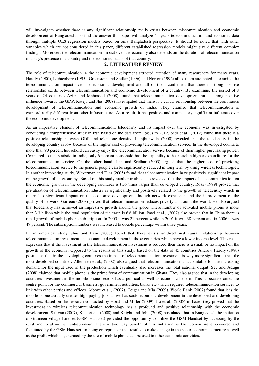will investigate whether there is any significant relationship really exists between telecommunication and economic development of Bangladesh. To find the answer this paper will analyze 41 years telecommunication and economic data through multiple OLS regression models based on only Bangladesh perspective. It should be noted that with other variables which are not considered in this paper, different established regression models might give different complex findings. Moreover, the telecommunication impact over the economy also depends on the duration of telecommunication industry's presence in a country and the economic status of that country.

#### **2. LITERATURE REVIEW**

The role of telecommunication in the economic development attracted attention of many researchers for many years. Hardly (1980), Lichtenberg (1995), Greenstein and Spillar (1996) and Norton (1992) all of them attempted to examine the telecommunication impact over the economic development and all of them confirmed that there is strong positive relationship exists between telecommunication and economic development of a country. By examining the period of 8 years of 24 countries Azim and Mahmood (2008) found that telecommunication development has a strong positive influence towards the GDP. Kateja and Jha (2008) investigated that there is a casual relationship between the continuous development of telecommunication and economic growth of India. They claimed that telecommunication is extraordinarily different from other infrastructure. As a result, it has positive and compulsory significant influence over the economic development.

As an imperative element of telecommunication, teledensity and its impact over the economy was investigated by conducting a comprehensive study in Iran based on the data from 1960s to 2012, Sadr et al., (2012) found that there is a positive relationship between GDP and telephone density. Jhunjhunwala (2000) revealed that the teledensity in the developing country is low because of the higher cost of providing telecommunication service. In the developed countries more than 90 percent household can easily enjoy the telecommunication service because of their higher purchasing power. Compared to that statistic in India, only 6 percent household has the capability to bear such a higher expenditure for the telecommunication service. On the other hand, Jain and Sridhar (2003) argued that the higher cost of providing telecommunication service to the general people can be significantly reduced in long term by using wireless technologies. In another interesting study, Waverman and Fuss (2005) found that telecommunication have positively significant impact on the growth of an economy. Based on this study another truth is also revealed that the impact of telecommunication on the economic growth in the developing countries is two times larger than developed country. Ross (1999) proved that privatization of telecommunication industry is significantly and positively related to the growth of teledensity which in return has significant impact on the economic development through network expansion and the improvement of the quality of network. Garreau (2008) proved that telecommunication reduces poverty as around the world. He also argued that teledensity has achieved an impressive growth around the globe where number of activated mobile phone is more than 3.3 billion while the total population of the earth is 6.6 billion. Patel et al., (2007) also proved that in China there is rapid growth of mobile phone subscription. In 2003 it was 21 percent while in 2005 it was 38 percent and in 2006 it was 49 percent. The subscription numbers was increased to double percentage within three years.

In an empirical study Shiu and Lam (2007) found that there exists unidirectional causal relationship between telecommunication investment and economic development in those countries which have a lower income level. This result expresses that if the investment in the telecommunication investment is reduced then there is a small or no impact on the growth of the economy. Opposed to the results of this study, based on the data of 45 countries Andrew Hardly (1980) postulated that in the developing countries the impact of telecommunication investment is way more significant than the most developed countries**.** Allenmen et al., (2002) also argued that telecommunication is accountable for the increasing demand for the input used in the production which eventually also increases the total national output. Sey and Adugu (2008) claimed that mobile phone is the prime form of communication in Ghana. They also argued that in the developing countries investment in the mobile phone sectors has a political as well as economic benefit. This is because cities are centre point for the commercial business, government activities, banks etc which required telecommunication services to link with other parties and offices. Ajboye et al., (2007), Geiger and Mia (2009), World Bank (2007) found that it is the mobile phone actually creates high paying jobs as well as socio economic development in the developed and developing countries. Based on the research conducted by Horst and Miller (2009), Ito et al., (2005) in Israel they proved that the investment in wireless telecommunication technology has a profound and positive relationship with the economic development. Sulivan (2007), Kaul et al., (2008) and Knight and John (2008) postulated that in Bangladesh the initiation of Grameen village handset (GSM Handset) provided the opportunity to utilize the GSM Handset by accessing by the rural and local women entrepreneur. There is two way benefit of this initiation as the women are empowered and facilitated by the GSM Handset for being entrepreneur that results to make change in the socio-economic structure as well as the profit which is generated by the use of mobile phone can be used in other economic activities.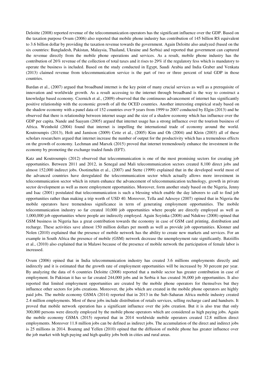Deloitte (2008) reported revenue of the telecommunication operators has the significant influence over the GDP. Based on the taxation purpose Ovum (2006) also reported that mobile phone industry has contribution of 145 billion RS equivalent to 3.6 billion dollar by providing the taxation revenue towards the government. Again Deloitte also analyzed (based on the six countries: Bangladesh, Pakistan, Malaysia, Thailand, Ukraine and Serbia) and reported that government can captured the revenue directly from the mobile phone operations and services. As a result, mobile phone industry has the contribution of 26% revenue of the collection of total taxes and it rises to 29% if the regulatory fess which is mandatory to operate the business is included. Based on the study conducted in Egypt, Saudi Arabia and India Graber and Venkata (2013) claimed revenue from telecommunication service is the part of two or three percent of total GDP in those countries.

Bardan et al., (2007) argued that broadband internet is the key point of many crucial services as well as a prerequisite of innovation and worldwide growth. As a result accessing to the internet through broadband is the way to construct a knowledge based economy. Czernich et al., (2009) observed that the continuous advancement of internet has significantly positive relationship with the economic growth of all the OCED countries. Another interesting empirical study based on the shadow economy with a panel data of 152 countries over 9 years from 1999 to 2007 conducted by Elgin (2013) and he observed that there is relationship between internet usage and the size of a shadow economy which has influence over the GDP per capita. Nande and Saayam (2005) argued that internet usage has a strong influence over the tourism business of Africa. Weinhold (2004) found that internet is impelling the international trade of economy around the world. Koutroumpis (2013), Holt and Jamison (2009) Cette et al., (2005) Kim and Oh (2004) and Klein (2003) all of these scholars researchers argued that internet increase the number of output for the productivity which has a tremendous effects on the growth of economy. Lechman and Marszk (2015) proved that internet tremendously enhance the investment in the economy by promoting the exchange traded funds (EFT).

Katz and Koutroumpis (2012) observed that telecommunication is one of the most promising sectors for creating job opportunities. Between 2011 and 2012, in Senegal and Mali telecommunication sectors created 8,100 direct jobs and almost 152,000 indirect jobs. Osotimehin et al., (2007) and Stette (1999) explained that in the developed world most of the advanced countries have deregulated the telecommunication sector which actually allows more investment in telecommunication sector which in return enhance the advancement of telecommunication technology, growth in private sector development as well as more employment opportunities. Moreover, form another study based on the Nigeria, Jenny and Isac (2001) postulated that telecommunication is such a blessing which enable the day laborers to call to find job opportunities rather than making a trip worth of USD 40. Moreover, Tella and Adesoye (2007) opined that in Nigeria the mobile operators have tremendous significance in term of generating employment opportunities. The mobile telecommunication industry so far created 10,000 job opportunities where people are directly employed as well as 1,000,000 job opportunities where people are indirectly employed. Again Soyinka (2008) and Ndukwe (2008) opined that GSM business in Nigeria has a great contribution towards the economy in case of GSM card printing, distribution and recharge. These activities save almost 150 million dollars per month as well as provide job opportunities. Klonner and Nolen (2010) explained that the presence of mobile network has the ability to create new markets and services. For an example in South Africa the presence of mobile (GSM) network decrease the unemployment rate significantly. Batziillis et al., (2010) also explained that in Malawi because of the presence of mobile network the participation of female labor is increased.

Ovum (2006) opined that in India telecommunication industry has created 3.6 millions employments directly and indirectly and it is estimated that the growth rate of employment opportunities will be increased by 30 percent per year. By analyzing the data of 6 countries Deloitte (2008) reported that a mobile sector has greater contribution in case of employment. In Pakistan it has so far created 244,000 jobs and in Serbia it has created 36,000 job opportunities. It also reported that limited employment opportunities are created by the mobile phone operators for themselves but they influence other sectors for jobs creations. Moreover, the jobs which are created in the mobile phone operators are highly paid jobs. The mobile economy GSMA (2014) reported that in 2013 in the Sub-Saharan Africa mobile industry created 2.4 million employments. Most of these jobs include distribution of retails services, selling recharge card and handsets. It proved that mobile network operation has a significant influence over the jobs creation. But it is also true that only 300,000 persons were directly employed by the mobile phone operators which are considered as high paying jobs. Again the mobile economy GSMA (2015) reported that in 2014 worldwide mobile operators created 12.8 million direct employments. Moreover 11.8 million jobs can be defined as indirect jobs. The accumulation of the direct and indirect jobs is 25 millions in 2014. Boateng and Yellen (2010) opined that the diffusion of mobile phone has greater influence over the job market with high paying and high quality jobs both in cities and rural areas.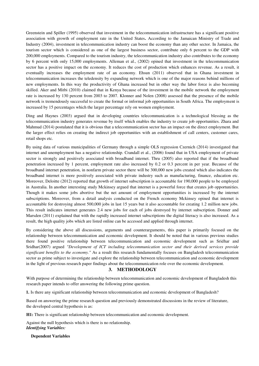Greenstein and Spiller (1995) observed that investment in the telecommunication infrastructure has a significant positive association with growth of employment rate in the United States**.** According to the Jamaican Ministry of Trade and Industry (2004), investment in telecommunication industry can boost the economy than any other sector. In Jamaica, the tourism sector which is considered as one of the largest business sector, contribute only 6 percent to the GDP with 200,000 employments. Compared to the tourism industry, the telecommunication industry also contributes to the economy by 6 percent with only 15,000 employments. Alleman et al., (2002) opined that investment in the telecommunication sector has a positive impact on the economy. It reduces the cost of production which enhances revenue. As a result, it eventually increases the employment rate of an economy. Ehsun (2011) observed that in Ghana investment in telecommunication increases the teledensity by expanding network which is one of the major reasons behind millions of new employments. In this way the productivity of Ghana increased but in other way the labor force is also becoming skilled. Aker and Mitbi (2010) claimed that in Kenya because of the investment in the mobile network the employment rate is increased by 130 percent from 2003 to 2007. Klonner and Nolen (2008) assessed that the presence of the mobile network is tremendously successful to create the formal or informal job opportunities in South Africa. The employment is increased by 15 percentages which the larger percentage rely on women employment.

Ding and Haynes (2003) argued that in developing countries telecommunication is a technological blessing as the telecommunication industry generates revenue by itself which enables the industry to create job opportunities. Zhara and Mahmud (2014) postulated that it is obvious that a telecommunication sector has an impact on the direct employment. But the larger effect relies on creating the indirect job opportunities with an establishment of call centers, customer cares, retail shops etc.

By using data of various municipalities of Germany through a simple OLS regression Czernich (2014) investigated that internet and unemployment has a negative relationship. Crandall et al., (2006) found that in USA employment of private sector is strongly and positively associated with broadband internet. Thru (2005) also reported that if the broadband penetration increased by 1 percent, employment rate also increased by 0.2 or 0.3 percent in per year. Because of the broadband internet penetration, in nonfarm private sector there will be 300,000 new jobs created which also indicates the broadband internet is more positively associated with private industry such as manufacturing, finance, education etc. Moreover, Deloitte (2012) reported that growth of internet subscription is accountable for 190,000 people to be employed in Australia. In another interesting study Mckinsey argued that internet is a powerful force that creates job opportunities. Though it makes some jobs abortive but the net amount of employment opportunities is increased by the internet subscriptions. Moreover, from a detail analysis conducted on the French economy Mckinsey opined that internet is accountable for destroying almost 500,000 jobs in last 15 years but it also accountable for creating 1.2 million new jobs. This result indicates internet generates 2.4 new jobs for each of jobs destroyed by internet subscription. Donner and Marsden (2011) explained that with the rapidly increased internet subscriptions the digital literacy is also increased. As a result, the high quality jobs which are listed online can be accessed and applied through internet.

By considering the above all discussions, arguments and counterarguments, this paper is primarily focused on the relationship between telecommunication and economic development. It should be noted that in various previous studies there found positive relationship between telecommunication and economic development such as Sridhar and Sridhar(2007) argued *"Development of ICT including telecommunication sector and their derived services provide significant benefits to the economy."* As a result this research fundamentally focuses on Bangladesh telecommunication sector as prime subject to investigate and explore the relationship between telecommunication and economic development in the light of previous research paper findings about the telecommunication role over the economic development.

## **3. METHODOLOGY**

With purpose of determining the relationship between telecommunication and economic development of Bangladesh this research paper intends to offer answering the following prime question.

**1.** Is there any significant relationship between telecommunication and economic development of Bangladesh?

Based on answering the prime research question and previously demonstrated discussions in the review of literature, the developed central hypothesis is as:

**H1:** There is significant relationship between telecommunication and economic development.

Against the null hypothesis which is there is no relationship. *Identifying Variables:*

#### **Dependent Variables**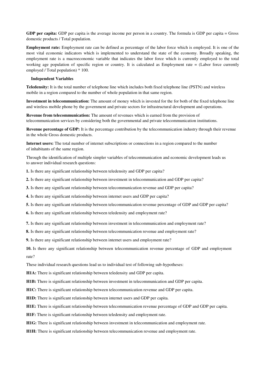**GDP per capita:** GDP per capita is the average income per person in a country. The formula is GDP per capita = Gross domestic products / Total population.

**Employment rate:** Employment rate can be defined as percentage of the labor force which is employed. It is one of the most vital economic indicators which is implemented to understand the state of the economy. Broadly speaking, the employment rate is a macroeconomic variable that indicates the labor force which is currently employed to the total working age population of specific region or country. It is calculated as Employment rate = (Labor force currently employed / Total population) \* 100.

#### **Independent Variables**

**Teledensity:** It is the total number of telephone line which includes both fixed telephone line (PSTN) and wireless mobile in a region compared to the number of whole population in that same region.

**Investment in telecommunication:** The amount of money which is invested for the for both of the fixed telephone line and wireless mobile phone by the government and private sectors for infrastructural development and operations.

**Revenue from telecommunication:** The amount of revenues which is earned from the provision of telecommunication services by considering both the governmental and private telecommunication institutions.

**Revenue percentage of GDP:** It is the percentage contribution by the telecommunication industry through their revenue in the whole Gross domestic products.

**Internet users:** The total number of internet subscriptions or connections in a region compared to the number of inhabitants of the same region.

Through the identification of multiple simpler variables of telecommunication and economic development leads us to answer individual research questions:

**1.** Is there any significant relationship between teledensity and GDP per capita?

**2.** Is there any significant relationship between investment in telecommunication and GDP per capita?

**3.** Is there any significant relationship between telecommunication revenue and GDP per capita?

**4.** Is there any significant relationship between internet users and GDP per capita?

**5.** Is there any significant relationship between telecommunication revenue percentage of GDP and GDP per capita?

**6.** Is there any significant relationship between teledensity and employment rate?

**7.** Is there any significant relationship between investment in telecommunication and employment rate?

**8.** Is there any significant relationship between telecommunication revenue and employment rate?

**9.** Is there any significant relationship between internet users and employment rate?

**10.** Is there any significant relationship between telecommunication revenue percentage of GDP and employment rate?

These individual research questions lead us to individual test of following sub-hypotheses:

**H1A:** There is significant relationship between teledensity and GDP per capita.

**H1B:** There is significant relationship between investment in telecommunication and GDP per capita.

**H1C:** There is significant relationship between telecommunication revenue and GDP per capita.

**H1D:** There is significant relationship between internet users and GDP per capita.

**H1E:** There is significant relationship between telecommunication revenue percentage of GDP and GDP per capita.

**H1F:** There is significant relationship between teledensity and employment rate.

**H1G:** There is significant relationship between investment in telecommunication and employment rate.

**H1H:** There is significant relationship between telecommunication revenue and employment rate.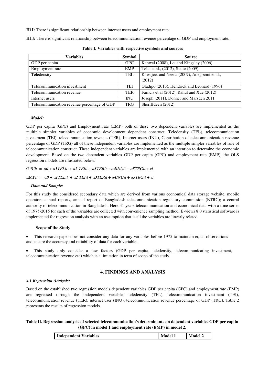**H1I:** There is significant relationship between internet users and employment rate.

**H1J:** There is significant relationship between telecommunication revenue percentage of GDP and employment rate.

| Variables                                   | <b>Symbol</b> | <b>Source</b>                               |
|---------------------------------------------|---------------|---------------------------------------------|
| GDP per capita                              | <b>GPC</b>    | Kanwal (2008), Lei and Kingsley (2006)      |
| Employment rate                             | EMP           | Tella et al., (2012), Stette (2009)         |
| Teledensity                                 | TEL           | Kawajeet and Neena (2007), Adegbemi et al., |
|                                             |               | (2012)                                      |
| Telecommunication investment                | TEI           | Oladipo (2013), Hendrick and Leonard (1996) |
| Telecommunication revenue                   | <b>TER</b>    | Farncis et al (2012), Rahul and Xue (2012)  |
| Internet users                              | <b>INU</b>    | Joseph (2011), Donner and Marsden 2011      |
| Telecommunication revenue percentage of GDP | <b>TRG</b>    | Sheriffdeen (2012)                          |

**Table I. Variables with respective symbols and sources** 

#### *Model:*

GDP per capita (GPC) and Employment rate (EMP) both of these two dependent variables are implemented as the multiple simpler variables of economic development dependent construct. Teledensity (TEL), telecommunication investment (TEI), telecommunication revenue (TER), Internet users (INU), Contribution of telecommunication revenue percentage of GDP (TRG) all of these independent variables are implemented as the multiple simpler variables of role of telecommunication construct. These independent variables are implemented with an intention to determine the economic development. Based on the two dependent variables GDP per capita (GPC) and employment rate (EMP), the OLS regression models are illustrated below:

 $\text{GPC}it = \alpha 0 + \alpha \text{ITELit} + \alpha 2 \text{TElit} + \alpha \text{3TERit} + \alpha \text{4INUit} + \alpha \text{5TRGit} + \varepsilon i$ 

EMPit =  $\alpha \theta$  +  $\alpha$ *ITELit* +  $\alpha$ *2 TEIit* +  $\alpha$ *3TERit* +  $\alpha$ *4INUit* +  $\alpha$ *5TRGit* +  $\epsilon$ *i* 

## *Data and Sample:*

For this study the considered secondary data which are derived from various economical data storage website, mobile operators annual reports, annual report of Bangladesh telecommunication regulatory commission (BTRC); a central authority of telecommunication in Bangladesh. Here 41 years telecommunication and economical data with a time series of 1975-2015 for each of the variables are collected with convenience sampling method. E-views 8.0 statistical software is implemented for regression analysis with an assumption that is all the variables are linearly related.

#### **Scope of the Study**

 This research paper does not consider any data for any variables before 1975 to maintain equal observations and ensure the accuracy and reliability of data for each variable.

 This study only consider a few factors (GDP per capita, teledensity, telecommunicating investment, telecommunication revenue etc) which is a limitation in term of scope of the study.

# **4. FINDINGS AND ANALYSIS**

#### *4.1 Regression Analysis:*

Based on the established two regression models dependent variables GDP per capita (GPC) and employment rate (EMP) are regressed through the independent variables teledensity (TEL), telecommunication investment (TEI), telecommunication revenue (TER), internet user (INU), telecommunication revenue percentage of GDP (TRG). Table 2 represents the results of regression models.

# **Table II. Regression analysis of selected telecommunication's determinants on dependent variables GDP per capita (GPC) in model 1 and employment rate (EMP) in model 2.**

|  | Independent Variables | <b>Model</b> | <b>Model 2</b> |
|--|-----------------------|--------------|----------------|
|--|-----------------------|--------------|----------------|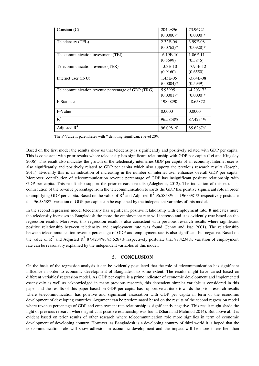| Constant $(C)$                                    | 204.9896<br>$(0.0000)*$ | 73.96721<br>$(0.0000)*$    |
|---------------------------------------------------|-------------------------|----------------------------|
| Teledensity (TEL)                                 | 2.32E-06<br>$(0.0762)*$ | 3.99E-08<br>$(0.0928)*$    |
| Telecommunication investment (TEI)                | $-6.19E-10$<br>(0.5599) | 1.06E-11<br>(0.5845)       |
| Telecommunication revenue (TER)                   | $1.03E-10$<br>(0.9160)  | $-7.95E-12$<br>(0.6550)    |
| Internet user (INU)                               | 1.45E-05<br>$(0.0004)*$ | $-3.64E-08$<br>(0.5939)    |
| Telecommunication revenue percentage of GDP (TRG) | 5.93995<br>$(0.0001)*$  | $-4.203172$<br>$(0.0000)*$ |
| F-Statistic                                       | 198.0290                | 48.65872                   |
| P-Value                                           | 0.0000                  | 0.0000                     |
| $R^2$                                             | 96.5858%                | 87.4234\%                  |
| Adjusted $R^2$                                    | 96.0981%                | 85.6267%                   |

The P-Value is parentheses with \* denoting significance level 20%

Based on the first model the results show us that teledensity is significantly and positively related with GDP per capita. This is consistent with prior results where teledensity has significant relationship with GDP per capita (Lei and Kingsley 2006). This result also indicates the growth of the teledensity intensifies GDP per capita of an economy. Internet user is also significantly and positively related to GDP per capita which also supports the previous research results (Joseph, 2011). Evidently this is an indication of increasing in the number of internet user enhances overall GDP per capita. Moreover, contribution of telecommunication revenue percentage of GDP has insignificant positive relationship with GDP per capita. This result also support the prior research results (Adegbemi, 2012). The indication of this result is, contribution of the revenue percentage from the telecommunication towards the GDP has positive significant role in order to amplifying GDP per capita. Based on the value of  $R^2$  and Adjusted  $R^2$  96.5858% and 96.0981% respectively postulate that 96.5858%, variation of GDP per capita can be explained by the independent variables of this model.

In the second regression model teledensity has significant positive relationship with employment rate. It indicates more the teledensity increases in Bangladesh the more the employment rate will increase and it is evidently true based on the regression results. Moreover, this regression result is also consistent with previous research results where significant positive relationship between teledensity and employment rate was found (Jenny and Isac 2001). The relationship between telecommunication revenue percentage of GDP and employment rate is also significant but negative. Based on the value of  $R^2$  and Adjusted  $R^2$  87.4234%, 85.6267% respectively postulate that 87.4234%, variation of employment rate can be reasonably explained by the independent variables of this model.

## **5. CONCLUSION**

On the basis of the regression analysis it can be evidently postulated that the role of telecommunication has significant influence in order to economic development of Bangladesh to some extent. The results might have varied based on different variables' regression model. As GDP per capita is a prime indicator of economic development and implemented extensively as well as acknowledged in many previous research, this dependent simpler variable is considered in this paper and the results of this paper based on GDP per capita has supportive attitude towards the prior research results where telecommunication has positive and significant association with GDP per capita in term of the economic development of developing countries. Argument can be predominated based on the results of the second regression model where revenue percentage of GDP and employment rate relationship is significantly negative. This result might shade the light of previous research where significant positive relationship was found (Zhara and Mahmud 2014). But above all it is evident based on prior results of other research where telecommunication role more signifies in term of economic development of developing country. However, as Bangladesh is a developing country of third world it is hoped that the telecommunication role will show adhesion in economic development and the impact will be more intensified than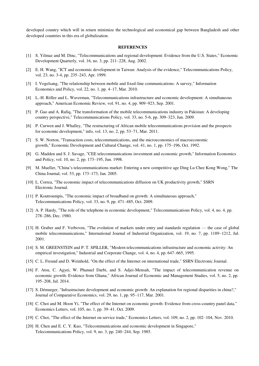developed country which will in return minimize the technological and economical gap between Bangladesh and other developed countries in this era of globalization.

#### **REFERENCES**

- [1] S. Yilmaz and M. Dinc, "Telecommunications and regional development: Evidence from the U.S. States," Economic Development Quarterly, vol. 16, no. 3, pp. 211–228, Aug. 2002.
- [2] E. H. Wang, "ICT and economic development in Taiwan: Analysis of the evidence," Telecommunications Policy, vol. 23, no. 3-4, pp. 235–243, Apr. 1999.
- [3] I. Vogelsang, "The relationship between mobile and fixed-line communications: A survey," Information Economics and Policy, vol. 22, no. 1, pp. 4–17, Mar. 2010.
- [4] L.-H. Röller and L. Waverman, "Telecommunications infrastructure and economic development: A simultaneous approach," American Economic Review, vol. 91, no. 4, pp. 909–923, Sep. 2001.
- [5] P. Gao and A. Rafiq, "The transformation of the mobile telecommunications industry in Pakistan: A developing country perspective," Telecommunications Policy, vol. 33, no. 5-6, pp. 309–323, Jun. 2009.
- [6] P. Curwen and J. Whalley, "The restructuring of African mobile telecommunications provision and the prospects for economic development," info, vol. 13, no. 2, pp. 53–71, Mar. 2011.
- [7] S. W. Norton, "Transaction costs, telecommunications, and the microeconomics of macroeconomic growth," Economic Development and Cultural Change, vol. 41, no. 1, pp. 175–196, Oct. 1992.
- [8] G. Madden and S. J. Savage, "CEE telecommunications investment and economic growth," Information Economics and Policy, vol. 10, no. 2, pp. 173–195, Jun. 1998.
- [9] M. Mueller, "China's telecommunications market: Entering a new competitive age Ding Lu Chee Kong Wong," The China Journal, vol. 53, pp. 173–173, Jan. 2005.
- [10] L. Correa, "The economic impact of telecommunications diffusion on UK productivity growth," SSRN Electronic Journal.
- [11] P. Koutroumpis, "The economic impact of broadband on growth: A simultaneous approach," Telecommunications Policy, vol. 33, no. 9, pp. 471–485, Oct. 2009.
- [12] A. P. Hardy, "The role of the telephone in economic development," Telecommunications Policy, vol. 4, no. 4, pp. 278–286, Dec. 1980.
- [13] H. Gruber and F. Verboven, "The evolution of markets under entry and standards regulation the case of global mobile telecommunications," International Journal of Industrial Organization, vol. 19, no. 7, pp. 1189–1212, Jul. 2001.
- [14] S. M. GREENSTEIN and P. T. SPILLER, "Modern telecommunications infrastructure and economic activity: An empirical investigation," Industrial and Corporate Change, vol. 4, no. 4, pp. 647–665, 1995.
- [15] C. L. Freund and D. Weinhold, "On the effect of the Internet on international trade," SSRN Electronic Journal.
- [16] F. Atsu, C. Agyei, W. Phanuel Darbi, and S. Adjei-Mensah, "The impact of telecommunication revenue on economic growth: Evidence from Ghana," African Journal of Economic and Management Studies, vol. 5, no. 2, pp. 195–208, Jul. 2014.
- [17] S. Démurger, "Infrastructure development and economic growth: An explanation for regional disparities in china?," Journal of Comparative Economics, vol. 29, no. 1, pp. 95–117, Mar. 2001.
- [18] C. Choi and M. Hoon Yi, "The effect of the Internet on economic growth: Evidence from cross-country panel data," Economics Letters, vol. 105, no. 1, pp. 39–41, Oct. 2009.
- [19] C. Choi, "The effect of the Internet on service trade," Economics Letters, vol. 109, no. 2, pp. 102–104, Nov. 2010.
- [20] H. Chen and E. C. Y. Kuo, "Telecommunications and economic development in Singapore," Telecommunications Policy, vol. 9, no. 3, pp. 240–244, Sep. 1985.